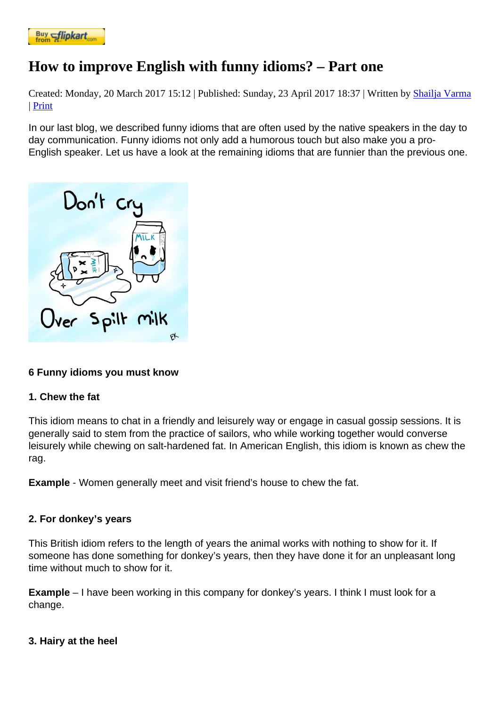# [How to impr](https://www.flipkart.com/spoken-english-3rd/p/itmezunpyjy5xcc7?pid=9789339221461&affid=kaminiraw)ove English with funny idioms? – Part one

Created: Monday, 20 March 2017 15: [Paublished: Sunday, 23 April 2017 18: [3] Written by Shailja Varma | Print

In our last blog, we described funny idioms that are often used by the native speakers [in the day to](https://english.eagetutor.com/contact)  day communication. Funny idioms not only add a humorous touch but also make you a pro-English speaker. Let us have a look at the remaining idioms that are funnier than the previous one.

[6 Funny idioms you must know](http://eagetutor.com/)

1. Chew the fat

This idiom means to chat in a friendly and leisurely way or engage in casual gossip sessions. It is generally said to stem from the practice of sailors, who while working together would converse leisurely while chewing on salt-hardened fat. In American English, this idiom is known as chew the rag.

Example - Women generally meet and visit friend's house to chew the fat.

2. For donkey's years

This British idiom refers to the length of years the animal works with nothing to show for it. If someone has done something for donkey's years, then they have done it for an unpleasant long time without much to show for it.

Example – I have been working in this company for donkey's years. I think I must look for a change.

3. Hairy at the heel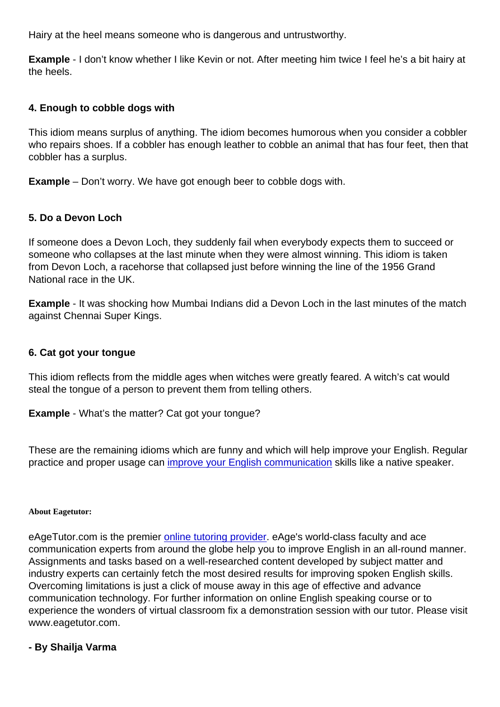Example - I don't know whether I like Kevin or not. After meeting him twice I feel he's a bit hairy at the heels.

## 4. Enough to cobble dogs with

This idiom means surplus of anything. The idiom becomes humorous when you consider a cobbler who repairs shoes. If a cobbler has enough leather to cobble an animal that has four feet, then that cobbler has a surplus.

Example – Don't worry. We have got enough beer to cobble dogs with.

## 5. Do a Devon Loch

If someone does a Devon Loch, they suddenly fail when everybody expects them to succeed or someone who collapses at the last minute when they were almost winning. This idiom is taken from Devon Loch, a racehorse that collapsed just before winning the line of the 1956 Grand National race in the UK.

Example - It was shocking how Mumbai Indians did a Devon Loch in the last minutes of the match against Chennai Super Kings.

#### 6. Cat got your tongue

This idiom reflects from the middle ages when witches were greatly feared. A witch's cat would steal the tongue of a person to prevent them from telling others.

Example - What's the matter? Cat got your tongue?

These are the remaining idioms which are funny and which will help improve your English. Regular practice and proper usage can improve your English communication skills like a native speaker.

#### About Eagetutor:

eAgeTutor.com is the premier online tutoring provider. eAge's world-class faculty and ace communication experts from around the globe help you to improve English in an all-round manner. Assignments and tasks based on a well-researched content developed by subject matter and industry experts can certainly [fetch the most desired r](http://www.eagetutor.com/)esults for improving spoken English skills. Overcoming limitations is just a click of mouse away in this age of effective and advance communication technology. For further information on online English speaking course or to experience the wonders of virtual classroom fix a demonstration session with our tutor. Please visit www.eagetutor.com.

- By Shailja Varma